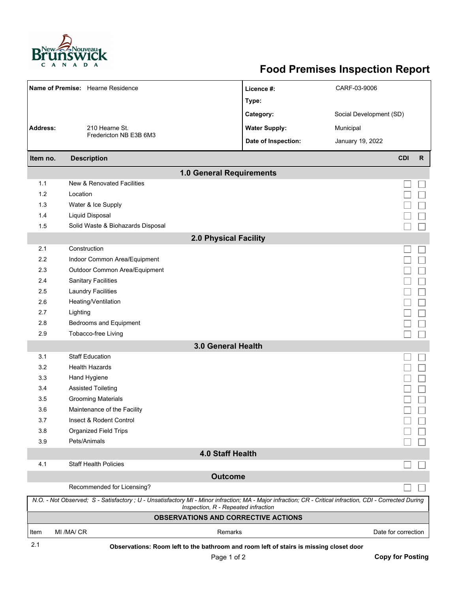

## **Food Premises Inspection Report**

| Name of Premise: Hearne Residence                                                                                                                                                                |                                   | Licence #:           | CARF-03-9006               |  |  |  |
|--------------------------------------------------------------------------------------------------------------------------------------------------------------------------------------------------|-----------------------------------|----------------------|----------------------------|--|--|--|
|                                                                                                                                                                                                  |                                   | Type:                |                            |  |  |  |
|                                                                                                                                                                                                  |                                   | Category:            | Social Development (SD)    |  |  |  |
| <b>Address:</b>                                                                                                                                                                                  | 210 Hearne St.                    |                      | Municipal                  |  |  |  |
|                                                                                                                                                                                                  | Fredericton NB E3B 6M3            | <b>Water Supply:</b> |                            |  |  |  |
|                                                                                                                                                                                                  |                                   | Date of Inspection:  | January 19, 2022           |  |  |  |
| Item no.                                                                                                                                                                                         | <b>Description</b>                |                      | <b>CDI</b><br>$\mathsf{R}$ |  |  |  |
| 1.0 General Requirements                                                                                                                                                                         |                                   |                      |                            |  |  |  |
| 1.1                                                                                                                                                                                              | New & Renovated Facilities        |                      |                            |  |  |  |
| 1.2                                                                                                                                                                                              | Location                          |                      |                            |  |  |  |
| 1.3                                                                                                                                                                                              | Water & Ice Supply                |                      |                            |  |  |  |
| 1.4                                                                                                                                                                                              | <b>Liquid Disposal</b>            |                      |                            |  |  |  |
| 1.5                                                                                                                                                                                              | Solid Waste & Biohazards Disposal |                      |                            |  |  |  |
| <b>2.0 Physical Facility</b>                                                                                                                                                                     |                                   |                      |                            |  |  |  |
| 2.1                                                                                                                                                                                              | Construction                      |                      |                            |  |  |  |
| 2.2                                                                                                                                                                                              | Indoor Common Area/Equipment      |                      |                            |  |  |  |
| 2.3                                                                                                                                                                                              | Outdoor Common Area/Equipment     |                      |                            |  |  |  |
| 2.4                                                                                                                                                                                              | <b>Sanitary Facilities</b>        |                      |                            |  |  |  |
| 2.5                                                                                                                                                                                              | <b>Laundry Facilities</b>         |                      |                            |  |  |  |
| 2.6                                                                                                                                                                                              | Heating/Ventilation               |                      |                            |  |  |  |
| 2.7                                                                                                                                                                                              | Lighting                          |                      |                            |  |  |  |
| 2.8                                                                                                                                                                                              | Bedrooms and Equipment            |                      |                            |  |  |  |
| 2.9                                                                                                                                                                                              | Tobacco-free Living               |                      |                            |  |  |  |
| 3.0 General Health                                                                                                                                                                               |                                   |                      |                            |  |  |  |
| 3.1                                                                                                                                                                                              | <b>Staff Education</b>            |                      |                            |  |  |  |
| 3.2                                                                                                                                                                                              | <b>Health Hazards</b>             |                      |                            |  |  |  |
| 3.3                                                                                                                                                                                              | Hand Hygiene                      |                      |                            |  |  |  |
| 3.4                                                                                                                                                                                              | <b>Assisted Toileting</b>         |                      |                            |  |  |  |
| 3.5                                                                                                                                                                                              | <b>Grooming Materials</b>         |                      |                            |  |  |  |
| 3.6                                                                                                                                                                                              | Maintenance of the Facility       |                      |                            |  |  |  |
| 3.7                                                                                                                                                                                              | Insect & Rodent Control           |                      |                            |  |  |  |
| 3.8                                                                                                                                                                                              | <b>Organized Field Trips</b>      |                      |                            |  |  |  |
| 3.9                                                                                                                                                                                              | Pets/Animals                      |                      |                            |  |  |  |
|                                                                                                                                                                                                  |                                   | 4.0 Staff Health     |                            |  |  |  |
| 4.1                                                                                                                                                                                              | <b>Staff Health Policies</b>      |                      |                            |  |  |  |
|                                                                                                                                                                                                  |                                   | <b>Outcome</b>       |                            |  |  |  |
|                                                                                                                                                                                                  | Recommended for Licensing?        |                      |                            |  |  |  |
| N.O. - Not Observed; S - Satisfactory ; U - Unsatisfactory MI - Minor infraction; MA - Major infraction; CR - Critical infraction, CDI - Corrected During<br>Inspection, R - Repeated infraction |                                   |                      |                            |  |  |  |
| <b>OBSERVATIONS AND CORRECTIVE ACTIONS</b>                                                                                                                                                       |                                   |                      |                            |  |  |  |
| Item                                                                                                                                                                                             | MI /MA/ CR                        | Remarks              | Date for correction        |  |  |  |
| 0.1                                                                                                                                                                                              |                                   |                      |                            |  |  |  |

**Observations: Room left to the bathroom and room left of stairs is missing closet door** 2.1